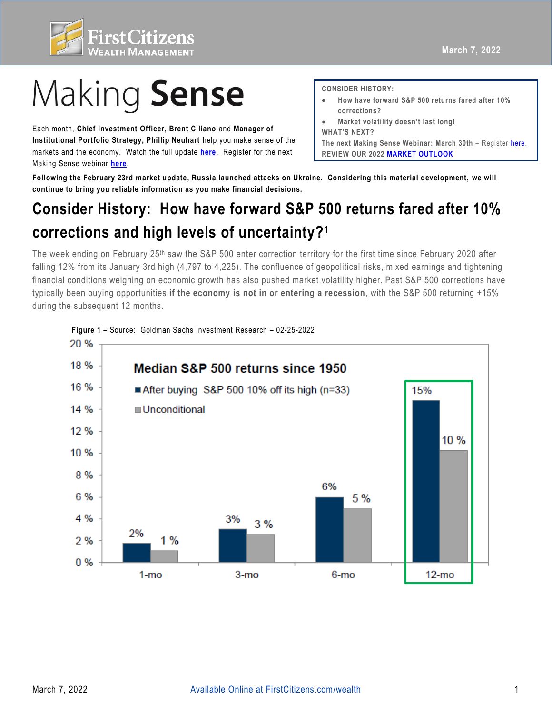

## Making Sense

 Each month, **Chief Investment Officer, Brent Ciliano** and **Manager of Institutional Portfolio Strategy, Phillip Neuhart** help you make sense of the markets and the economy. Watch the full update **[here](https://www.firstcitizens.com/wealth/insights/videos/making-sense-webinar-february-highlights)**. Register for the next Making Sense webinar **[here](https://firstcitizens.webex.com/firstcitizens/onstage/g.php?MTID=e8c5359b8ed252c613ef704672b36a901)**.

**CONSIDER HISTORY:** 

- **How have forward S&P 500 returns fared after 10% corrections?**
- **Market volatility doesn't last long!**

The next Making Sense Webinar: March 30th - Register [here](https://firstcitizens.webex.com/firstcitizens/onstage/g.php?MTID=e8c5359b8ed252c613ef704672b36a901).  **REVIEW OUR 202[2 MARKET OUTLOOK](https://www.firstcitizens.com/wealth/market-outlook/2021/making-sense-2022-market-outlook) WHAT'S NEXT?** 

 **Following the February 23rd market update, Russia launched attacks on Ukraine. Considering this material development, we will continue to bring you reliable information as you make financial decisions.** 

## **Consider History: How have forward S&P 500 returns fared after 10% corrections and high levels of uncertainty?1**

The week ending on February 25th saw the S&P 500 enter correction territory for the first time since February 2020 after falling 12% from its January 3rd high (4,797 to 4,225). The confluence of geopolitical risks, mixed earnings and tightening financial conditions weighing on economic growth has also pushed market volatility higher. Past S&P 500 corrections have typically been buying opportunities **if the economy is not in or entering a recession**, with the S&P 500 returning +15% during the subsequent 12 months.

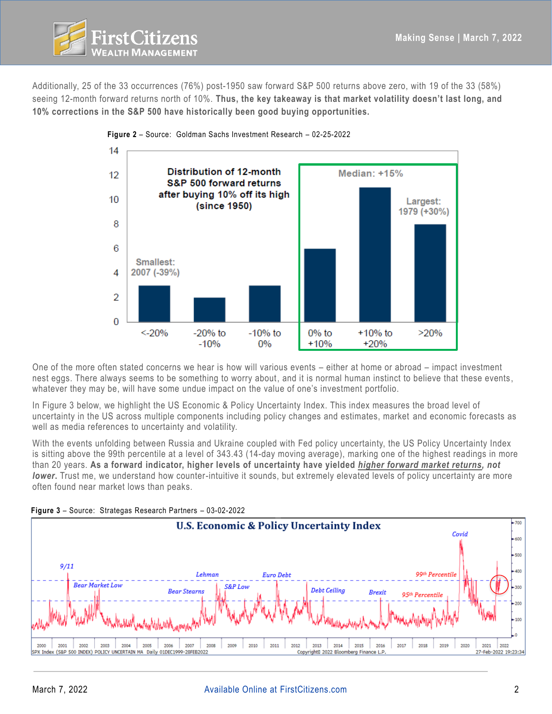

Additionally, 25 of the 33 occurrences (76%) post-1950 saw forward S&P 500 returns above zero, with 19 of the 33 (58%) seeing 12-month forward returns north of 10%. **Thus, the key takeaway is that market volatility doesn't last long, and 10% corrections in the S&P 500 have historically been good buying opportunities.** 



 One of the more often stated concerns we hear is how will various events – either at home or abroad – impact investment nest eggs. There always seems to be something to worry about, and it is normal human instinct to believe that these events, whatever they may be, will have some undue impact on the value of one's investment portfolio.

 In Figure 3 below, we highlight the US Economic & Policy Uncertainty Index. This index measures the broad level of uncertainty in the US across multiple components including policy changes and estimates, market and economic forecasts as well as media references to uncertainty and volatility.

With the events unfolding between Russia and Ukraine coupled with Fed policy uncertainty, the US Policy Uncertainty Index is sitting above the 99th percentile at a level of 343.43 (14-day moving average), marking one of the highest readings in more than 20 years. **As a forward indicator, higher levels of uncertainty have yielded** *higher forward market returns, not lower***.** Trust me, we understand how counter-intuitive it sounds, but extremely elevated levels of policy uncertainty are more often found near market lows than peaks.